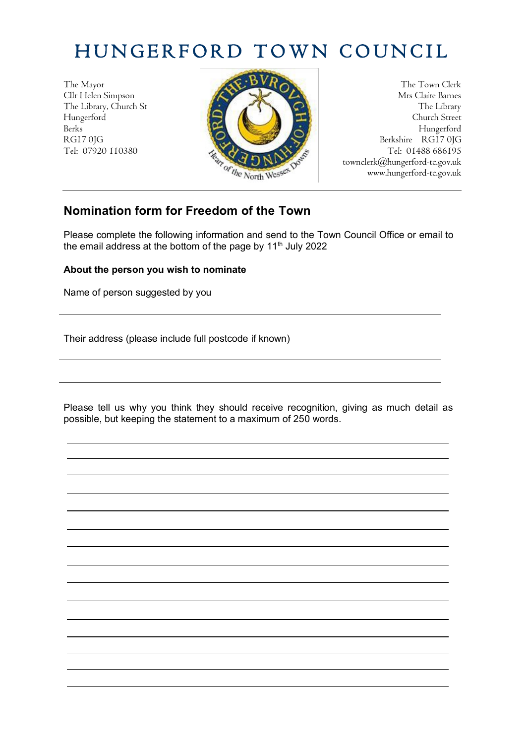## HUNGERFORD TOWN COUNCIL

Tel: 07920 110380



townclerk@hungerford-tc.gov.uk www.hungerford-tc.gov.uk

## **Nomination form for Freedom of the Town**

Please complete the following information and send to the Town Council Office or email to the email address at the bottom of the page by  $11<sup>th</sup>$  July 2022

## **About the person you wish to nominate**

Name of person suggested by you

Their address (please include full postcode if known)

Please tell us why you think they should receive recognition, giving as much detail as possible, but keeping the statement to a maximum of 250 words.